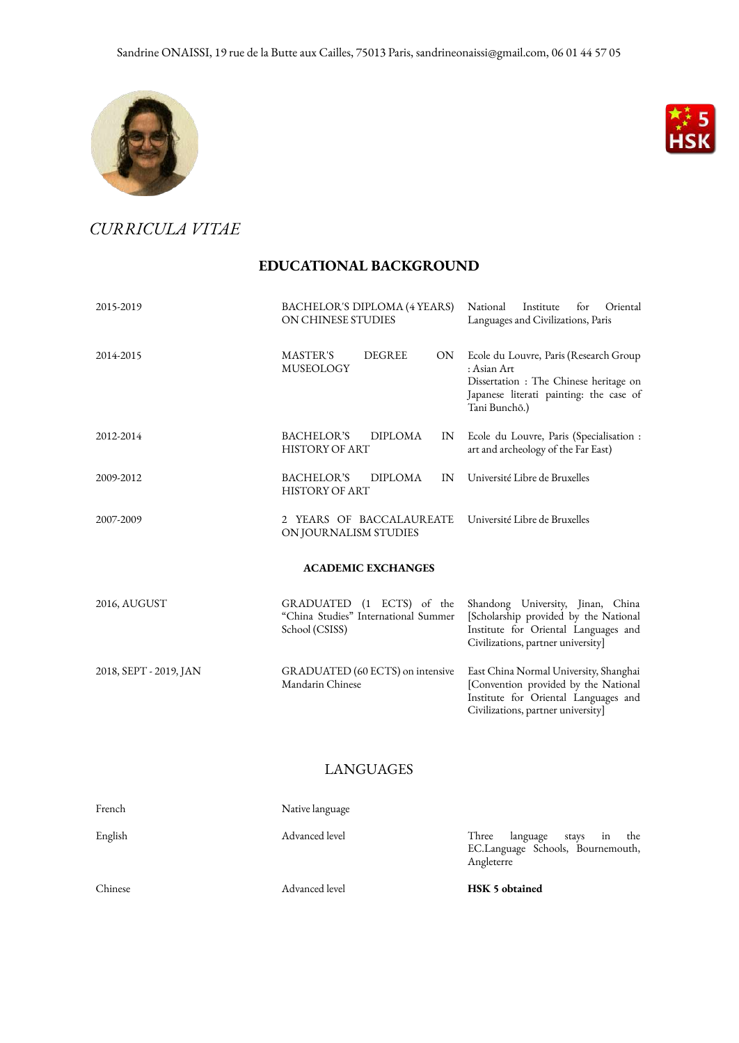



*CURRICULA VITAE*

## **EDUCATIONAL BACKGROUND**

| 2015-2019                 | BACHELOR'S DIPLOMA (4 YEARS)<br>ON CHINESE STUDIES                                  | for<br>Oriental<br>National<br>Institute<br>Languages and Civilizations, Paris                                                                               |  |  |  |
|---------------------------|-------------------------------------------------------------------------------------|--------------------------------------------------------------------------------------------------------------------------------------------------------------|--|--|--|
| 2014-2015                 | <b>MASTER'S</b><br><b>DEGREE</b><br><b>ON</b><br><b>MUSEOLOGY</b>                   | Ecole du Louvre, Paris (Research Group<br>: Asian Art<br>Dissertation: The Chinese heritage on<br>Japanese literati painting: the case of<br>Tani Bunchō.)   |  |  |  |
| 2012-2014                 | <b>BACHELOR'S</b><br><b>DIPLOMA</b><br>IN<br><b>HISTORY OF ART</b>                  | Ecole du Louvre, Paris (Specialisation :<br>art and archeology of the Far East)                                                                              |  |  |  |
| 2009-2012                 | <b>BACHELOR'S</b><br><b>DIPLOMA</b><br>IN<br><b>HISTORY OF ART</b>                  | Université Libre de Bruxelles                                                                                                                                |  |  |  |
| 2007-2009                 | 2 YEARS OF BACCALAUREATE<br>ON JOURNALISM STUDIES                                   | Université Libre de Bruxelles                                                                                                                                |  |  |  |
| <b>ACADEMIC EXCHANGES</b> |                                                                                     |                                                                                                                                                              |  |  |  |
| 2016, AUGUST              | GRADUATED (1 ECTS) of the<br>"China Studies" International Summer<br>School (CSISS) | Shandong University, Jinan, China<br>[Scholarship provided by the National<br>Institute for Oriental Languages and<br>Civilizations, partner university]     |  |  |  |
| 2018, SEPT - 2019, JAN    | GRADUATED (60 ECTS) on intensive<br>Mandarin Chinese                                | East China Normal University, Shanghai<br>[Convention provided by the National<br>Institute for Oriental Languages and<br>Civilizations, partner university] |  |  |  |

## LANGUAGES

| French  | Native language |                                                                                   |
|---------|-----------------|-----------------------------------------------------------------------------------|
| English | Advanced level  | Three<br>language stays in the<br>EC.Language Schools, Bournemouth,<br>Angleterre |
| Chinese | Advanced level  | HSK 5 obtained                                                                    |